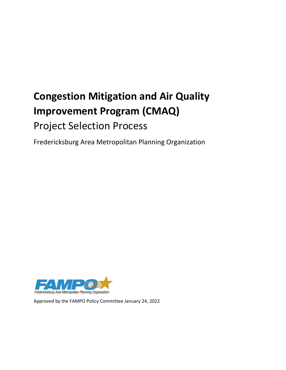# **Congestion Mitigation and Air Quality Improvement Program (CMAQ)**  Project Selection Process

Fredericksburg Area Metropolitan Planning Organization



Approved by the FAMPO Policy Committee January 24, 2022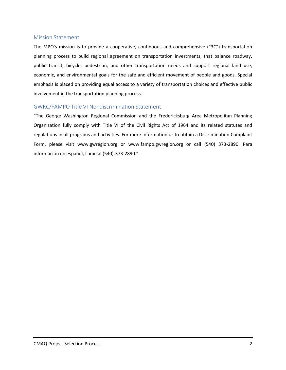#### <span id="page-1-0"></span>Mission Statement

The MPO's mission is to provide a cooperative, continuous and comprehensive ("3C") transportation planning process to build regional agreement on transportation investments, that balance roadway, public transit, bicycle, pedestrian, and other transportation needs and support regional land use, economic, and environmental goals for the safe and efficient movement of people and goods. Special emphasis is placed on providing equal access to a variety of transportation choices and effective public involvement in the transportation planning process.

## <span id="page-1-1"></span>GWRC/FAMPO Title VI Nondiscrimination Statement

"The George Washington Regional Commission and the Fredericksburg Area Metropolitan Planning Organization fully comply with Title VI of the Civil Rights Act of 1964 and its related statutes and regulations in all programs and activities. For more information or to obtain a Discrimination Complaint Form, please visit www.gwregion.org or www.fampo.gwregion.org or call (540) 373-2890. Para información en español, llame al (540)-373-2890."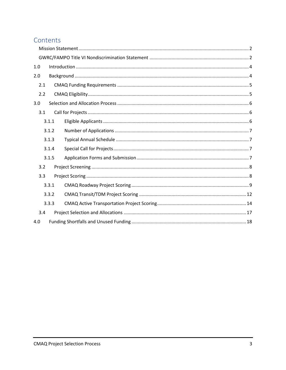# Contents

| 1.0   |       |  |  |  |  |  |  |  |
|-------|-------|--|--|--|--|--|--|--|
| 2.0   |       |  |  |  |  |  |  |  |
| 2.1   |       |  |  |  |  |  |  |  |
| 2.2   |       |  |  |  |  |  |  |  |
| 3.0   |       |  |  |  |  |  |  |  |
| 3.1   |       |  |  |  |  |  |  |  |
|       | 3.1.1 |  |  |  |  |  |  |  |
| 3.1.2 |       |  |  |  |  |  |  |  |
| 3.1.3 |       |  |  |  |  |  |  |  |
|       | 3.1.4 |  |  |  |  |  |  |  |
|       | 3.1.5 |  |  |  |  |  |  |  |
| 3.2   |       |  |  |  |  |  |  |  |
| 3.3   |       |  |  |  |  |  |  |  |
|       | 3.3.1 |  |  |  |  |  |  |  |
| 3.3.2 |       |  |  |  |  |  |  |  |
|       | 3.3.3 |  |  |  |  |  |  |  |
| 3.4   |       |  |  |  |  |  |  |  |
| 4.0   |       |  |  |  |  |  |  |  |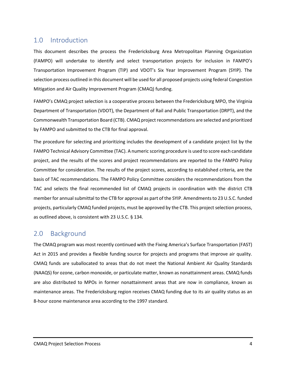# <span id="page-3-0"></span>1.0 Introduction

This document describes the process the Fredericksburg Area Metropolitan Planning Organization (FAMPO) will undertake to identify and select transportation projects for inclusion in FAMPO's Transportation Improvement Program (TIP) and VDOT's Six Year Improvement Program (SYIP). The selection process outlined in this document will be used for all proposed projects using federal Congestion Mitigation and Air Quality Improvement Program (CMAQ) funding.

FAMPO's CMAQ project selection is a cooperative process between the Fredericksburg MPO, the Virginia Department of Transportation (VDOT), the Department of Rail and Public Transportation (DRPT), and the Commonwealth Transportation Board (CTB). CMAQ project recommendations are selected and prioritized by FAMPO and submitted to the CTB for final approval.

The procedure for selecting and prioritizing includes the development of a candidate project list by the FAMPO Technical Advisory Committee (TAC). A numeric scoring procedure is used to score each candidate project, and the results of the scores and project recommendations are reported to the FAMPO Policy Committee for consideration. The results of the project scores, according to established criteria, are the basis of TAC recommendations. The FAMPO Policy Committee considers the recommendations from the TAC and selects the final recommended list of CMAQ projects in coordination with the district CTB member for annual submittal to the CTB for approval as part of the SYIP. Amendments to 23 U.S.C. funded projects, particularly CMAQ funded projects, must be approved by the CTB. This project selection process, as outlined above, is consistent with 23 U.S.C. § 134.

# <span id="page-3-1"></span>2.0 Background

The CMAQ program was most recently continued with the Fixing America's Surface Transportation (FAST) Act in 2015 and provides a flexible funding source for projects and programs that improve air quality. CMAQ funds are suballocated to areas that do not meet the National Ambient Air Quality Standards (NAAQS) for ozone, carbon monoxide, or particulate matter, known as nonattainment areas. CMAQ funds are also distributed to MPOs in former nonattainment areas that are now in compliance, known as maintenance areas. The Fredericksburg region receives CMAQ funding due to its air quality status as an 8-hour ozone maintenance area according to the 1997 standard.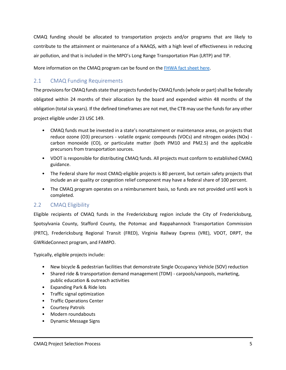CMAQ funding should be allocated to transportation projects and/or programs that are likely to contribute to the attainment or maintenance of a NAAQS, with a high level of effectiveness in reducing air pollution, and that is included in the MPO's Long Range Transportation Plan (LRTP) and TIP.

More information on the CMAQ program can be found on the **FHWA** fact sheet here.

# <span id="page-4-0"></span>2.1 CMAQ Funding Requirements

The provisions for CMAQ funds state that projects funded by CMAQ funds (whole or part) shall be federally obligated within 24 months of their allocation by the board and expended within 48 months of the obligation (total six years). If the defined timeframes are not met, the CTB may use the funds for any other project eligible under 23 USC 149.

- CMAQ funds must be invested in a state's nonattainment or maintenance areas, on projects that reduce ozone (O3) precursors - volatile organic compounds (VOCs) and nitrogen oxides (NOx) carbon monoxide (CO), or particulate matter (both PM10 and PM2.5) and the applicable precursors from transportation sources.
- VDOT is responsible for distributing CMAQ funds. All projects must conform to established CMAQ guidance.
- The Federal share for most CMAQ-eligible projects is 80 percent, but certain safety projects that include an air quality or congestion relief component may have a federal share of 100 percent.
- The CMAQ program operates on a reimbursement basis, so funds are not provided until work is completed.

## <span id="page-4-1"></span>2.2 CMAQ Eligibility

Eligible recipients of CMAQ funds in the Fredericksburg region include the City of Fredericksburg, Spotsylvania County, Stafford County, the Potomac and Rappahannock Transportation Commission (PRTC), Fredericksburg Regional Transit (FRED), Virginia Railway Express (VRE), VDOT, DRPT, the GWRideConnect program, and FAMPO.

Typically, eligible projects include:

- New bicycle & pedestrian facilities that demonstrate Single Occupancy Vehicle (SOV) reduction
- Shared ride & transportation demand management (TDM) carpools/vanpools, marketing, public education & outreach activities
- Expanding Park & Ride lots
- Traffic signal optimization
- Traffic Operations Center
- Courtesy Patrols
- Modern roundabouts
- Dynamic Message Signs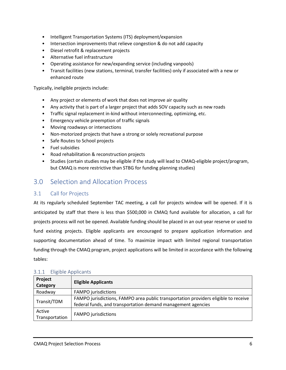- Intelligent Transportation Systems (ITS) deployment/expansion
- Intersection improvements that relieve congestion & do not add capacity
- Diesel retrofit & replacement projects
- Alternative fuel infrastructure
- Operating assistance for new/expanding service (including vanpools)
- Transit facilities (new stations, terminal, transfer facilities) only if associated with a new or enhanced route

Typically, ineligible projects include:

- Any project or elements of work that does not improve air quality
- Any activity that is part of a larger project that adds SOV capacity such as new roads
- Traffic signal replacement in-kind without interconnecting, optimizing, etc.
- Emergency vehicle preemption of traffic signals
- Moving roadways or intersections
- Non-motorized projects that have a strong or solely recreational purpose
- Safe Routes to School projects
- Fuel subsidies
- Road rehabilitation & reconstruction projects
- Studies (certain studies may be eligible if the study will lead to CMAQ-eligible project/program, but CMAQ is more restrictive than STBG for funding planning studies)

# <span id="page-5-0"></span>3.0 Selection and Allocation Process

## <span id="page-5-1"></span>3.1 Call for Projects

At its regularly scheduled September TAC meeting, a call for projects window will be opened. If it is anticipated by staff that there is less than \$500,000 in CMAQ fund available for allocation, a call for projects process will not be opened. Available funding should be placed in an out-year reserve or used to fund existing projects. Eligible applicants are encouraged to prepare application information and supporting documentation ahead of time. To maximize impact with limited regional transportation funding through the CMAQ program, project applications will be limited in accordance with the following tables:

| Project<br>Category      | <b>Eligible Applicants</b>                                                                                                                          |
|--------------------------|-----------------------------------------------------------------------------------------------------------------------------------------------------|
| Roadway                  | <b>FAMPO</b> jurisdictions                                                                                                                          |
| Transit/TDM              | FAMPO jurisdictions, FAMPO area public transportation providers eligible to receive<br>federal funds, and transportation demand management agencies |
| Active<br>Transportation | <b>FAMPO</b> jurisdictions                                                                                                                          |

#### <span id="page-5-2"></span>3.1.1 Eligible Applicants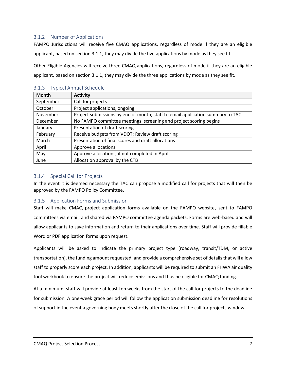#### <span id="page-6-0"></span>3.1.2 Number of Applications

FAMPO Jurisdictions will receive five CMAQ applications, regardless of mode if they are an eligible applicant, based on section 3.1.1, they may divide the five applications by mode as they see fit.

Other Eligible Agencies will receive three CMAQ applications, regardless of mode if they are an eligible applicant, based on section 3.1.1, they may divide the three applications by mode as they see fit.

| <b>Month</b> | <b>Activity</b>                                                                |
|--------------|--------------------------------------------------------------------------------|
| September    | Call for projects                                                              |
| October      | Project applications, ongoing                                                  |
| November     | Project submissions by end of month; staff to email application summary to TAC |
| December     | No FAMPO committee meetings; screening and project scoring begins              |
| January      | Presentation of draft scoring                                                  |
| February     | Receive budgets from VDOT; Review draft scoring                                |
| March        | Presentation of final scores and draft allocations                             |
| April        | Approve allocations                                                            |
| May          | Approve allocations, if not completed in April                                 |
| June         | Allocation approval by the CTB                                                 |

#### <span id="page-6-1"></span>3.1.3 Typical Annual Schedule

#### <span id="page-6-2"></span>3.1.4 Special Call for Projects

In the event it is deemed necessary the TAC can propose a modified call for projects that will then be approved by the FAMPO Policy Committee.

#### <span id="page-6-3"></span>3.1.5 Application Forms and Submission

Staff will make CMAQ project application forms available on the FAMPO website, sent to FAMPO committees via email, and shared via FAMPO committee agenda packets. Forms are web-based and will allow applicants to save information and return to their applications over time. Staff will provide fillable Word or PDF application forms upon request.

Applicants will be asked to indicate the primary project type (roadway, transit/TDM, or active transportation), the funding amount requested, and provide a comprehensive set of details that will allow staff to properly score each project. In addition, applicants will be required to submit an FHWA air quality tool workbook to ensure the project will reduce emissions and thus be eligible for CMAQ funding.

At a minimum, staff will provide at least ten weeks from the start of the call for projects to the deadline for submission. A one-week grace period will follow the application submission deadline for resolutions of support in the event a governing body meets shortly after the close of the call for projects window.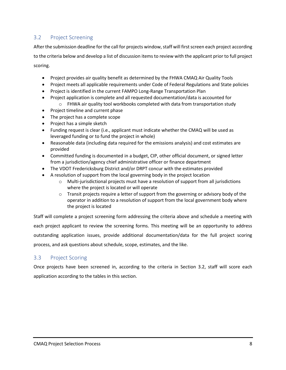## <span id="page-7-0"></span>3.2 Project Screening

After the submission deadline for the call for projects window, staff will first screen each project according to the criteria below and develop a list of discussion items to review with the applicant prior to full project

scoring.

- Project provides air quality benefit as determined by the FHWA CMAQ Air Quality Tools
- Project meets all applicable requirements under Code of Federal Regulations and State policies
- Project is identified in the current FAMPO Long-Range Transportation Plan
- Project application is complete and all requested documentation/data is accounted for
	- $\circ$  FHWA air quality tool workbooks completed with data from transportation study
- Project timeline and current phase
- The project has a complete scope
- Project has a simple sketch
- Funding request is clear (i.e., applicant must indicate whether the CMAQ will be used as leveraged funding or to fund the project in whole)
- Reasonable data (including data required for the emissions analysis) and cost estimates are provided
- Committed funding is documented in a budget, CIP, other official document, or signed letter from a jurisdiction/agency chief administrative officer or finance department
- The VDOT Fredericksburg District and/or DRPT concur with the estimates provided
- A resolution of support from the local governing body in the project location
	- $\circ$  Multi-jurisdictional projects must have a resolution of support from all jurisdictions where the project is located or will operate
	- $\circ$  Transit projects require a letter of support from the governing or advisory body of the operator in addition to a resolution of support from the local government body where the project is located

Staff will complete a project screening form addressing the criteria above and schedule a meeting with each project applicant to review the screening forms. This meeting will be an opportunity to address outstanding application issues, provide additional documentation/data for the full project scoring process, and ask questions about schedule, scope, estimates, and the like.

## <span id="page-7-1"></span>3.3 Project Scoring

Once projects have been screened in, according to the criteria in Section 3.2, staff will score each application according to the tables in this section.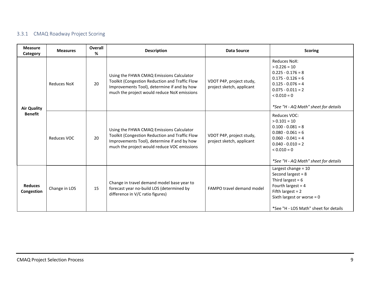# 3.3.1 CMAQ Roadway Project Scoring

<span id="page-8-0"></span>

| <b>Measure</b><br>Category           | <b>Measures</b>    | Overall<br>% | <b>Description</b>                                                                                                                                                                       | <b>Data Source</b>                                    | <b>Scoring</b>                                                                                                                                                                               |
|--------------------------------------|--------------------|--------------|------------------------------------------------------------------------------------------------------------------------------------------------------------------------------------------|-------------------------------------------------------|----------------------------------------------------------------------------------------------------------------------------------------------------------------------------------------------|
| <b>Air Quality</b><br><b>Benefit</b> | <b>Reduces NoX</b> | 20           | Using the FHWA CMAQ Emissions Calculator<br>Toolkit (Congestion Reduction and Traffic Flow<br>Improvements Tool), determine if and by how<br>much the project would reduce NoX emissions | VDOT P4P, project study,<br>project sketch, applicant | Reduces NoX:<br>$> 0.226 = 10$<br>$0.225 - 0.176 = 8$<br>$0.175 - 0.126 = 6$<br>$0.125 - 0.076 = 4$<br>$0.075 - 0.011 = 2$<br>$< 0.010 = 0$<br>*See "H - AQ Math" sheet for details          |
|                                      | Reduces VOC        | 20           | Using the FHWA CMAQ Emissions Calculator<br>Toolkit (Congestion Reduction and Traffic Flow<br>Improvements Tool), determine if and by how<br>much the project would reduce VOC emissions | VDOT P4P, project study,<br>project sketch, applicant | Reduces VOC:<br>$> 0.101 = 10$<br>$0.100 - 0.081 = 8$<br>$0.080 - 0.061 = 6$<br>$0.060 - 0.041 = 4$<br>$0.040 - 0.010 = 2$<br>$< 0.010 = 0$<br>*See "H - AQ Math" sheet for details          |
| <b>Reduces</b><br>Congestion         | Change in LOS      | 15           | Change in travel demand model base year to<br>forecast year no-build LOS (determined by<br>difference in V/C ratio figures)                                                              | FAMPO travel demand model                             | Largest change = $10$<br>Second largest = $8$<br>Third largest = $6$<br>Fourth largest = $4$<br>Fifth largest = $2$<br>Sixth largest or worse = $0$<br>*See "H - LOS Math" sheet for details |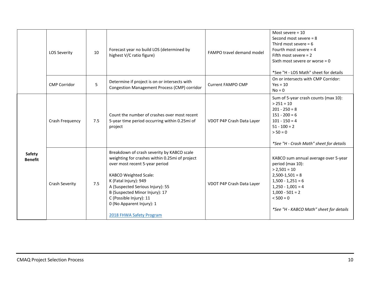|                                 | <b>LOS Severity</b> | 10  | Forecast year no build LOS (determined by<br>highest V/C ratio figure)                                                                                                                                                                                                                                                                            | FAMPO travel demand model | Most severe $= 10$<br>Second most severe $= 8$<br>Third most severe = $6$<br>Fourth most severe $= 4$<br>Fifth most severe $= 2$<br>Sixth most severe or worse = $0$<br>*See "H - LOS Math" sheet for details                |
|---------------------------------|---------------------|-----|---------------------------------------------------------------------------------------------------------------------------------------------------------------------------------------------------------------------------------------------------------------------------------------------------------------------------------------------------|---------------------------|------------------------------------------------------------------------------------------------------------------------------------------------------------------------------------------------------------------------------|
|                                 | <b>CMP Corridor</b> | 5   | Determine if project is on or intersects with<br>Congestion Management Process (CMP) corridor                                                                                                                                                                                                                                                     | <b>Current FAMPO CMP</b>  | On or intersects with CMP Corridor:<br>$Yes = 10$<br>$No = 0$                                                                                                                                                                |
|                                 | Crash Frequency     | 7.5 | Count the number of crashes over most recent<br>5-year time period occurring within 0.25mi of<br>project                                                                                                                                                                                                                                          | VDOT P4P Crash Data Layer | Sum of 5-year crash counts (max 10):<br>$> 251 = 10$<br>$201 - 250 = 8$<br>$151 - 200 = 6$<br>$101 - 150 = 4$<br>$51 - 100 = 2$<br>$> 50 = 0$<br>*See "H - Crash Math" sheet for details                                     |
| <b>Safety</b><br><b>Benefit</b> | Crash Severity      | 7.5 | Breakdown of crash severity by KABCO scale<br>weighting for crashes within 0.25mi of project<br>over most recent 5-year period<br><b>KABCO Weighted Scale:</b><br>K (Fatal Injury): 949<br>A (Suspected Serious Injury): 55<br>B (Suspected Minor Injury): 17<br>C (Possible Injury): 11<br>0 (No Apparent Injury): 1<br>2018 FHWA Safety Program | VDOT P4P Crash Data Layer | KABCO sum annual average over 5-year<br>period (max 10):<br>$> 2,501 = 10$<br>$2,500-1,501 = 8$<br>$1,500 - 1,251 = 6$<br>$1,250 - 1,001 = 4$<br>$1,000 - 501 = 2$<br>$< 500 = 0$<br>*See "H - KABCO Math" sheet for details |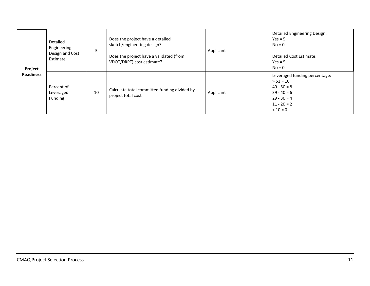| Project          | Detailed<br>Engineering<br>Design and Cost<br>Estimate | 5  | Does the project have a detailed<br>sketch/engineering design?<br>Does the project have a validated (from<br>VDOT/DRPT) cost estimate? | Applicant | Detailed Engineering Design:<br>$Yes = 5$<br>$No = 0$<br><b>Detailed Cost Estimate:</b><br>$Yes = 5$<br>$No = 0$               |
|------------------|--------------------------------------------------------|----|----------------------------------------------------------------------------------------------------------------------------------------|-----------|--------------------------------------------------------------------------------------------------------------------------------|
| <b>Readiness</b> | Percent of<br>Leveraged<br>Funding                     | 10 | Calculate total committed funding divided by<br>project total cost                                                                     | Applicant | Leveraged funding percentage:<br>$> 51 = 10$<br>$49 - 50 = 8$<br>$39 - 40 = 6$<br>$29 - 30 = 4$<br>$11 - 20 = 2$<br>$< 10 = 0$ |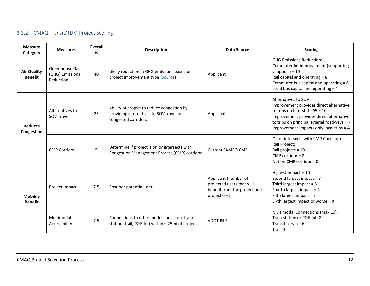# 3.3.2 CMAQ Transit/TDM Project Scoring

<span id="page-11-0"></span>

| <b>Measure</b><br>Category           | <b>Measures</b>                                | Overall<br>% | <b>Description</b>                                                                                           | <b>Data Source</b>                                                                                 | <b>Scoring</b>                                                                                                                                                                                                                            |
|--------------------------------------|------------------------------------------------|--------------|--------------------------------------------------------------------------------------------------------------|----------------------------------------------------------------------------------------------------|-------------------------------------------------------------------------------------------------------------------------------------------------------------------------------------------------------------------------------------------|
| <b>Air Quality</b><br><b>Benefit</b> | Greenhouse Gas<br>(GHG) Emissions<br>Reduction | 40           | Likely reduction in GHG emissions based on<br>project improvement type (Source)                              | Applicant                                                                                          | <b>GHG Emissions Reduction:</b><br>Commuter lot improvement (supporting<br>vanpools) = $10$<br>Rail capital and operating = 8<br>Commuter bus capital and operating $= 6$<br>Local bus capital and operating $=$ 4                        |
| <b>Reduces</b><br>Congestion         | Alternatives to<br><b>SOV Travel</b>           | 25           | Ability of project to reduce congestion by<br>providing alternatives to SOV travel on<br>congested corridors | Applicant                                                                                          | Alternatives to SOV:<br>Improvement provides direct alternative<br>to trips on Interstate $95 = 10$<br>Improvement provides direct alternative<br>to trips on principal arterial roadways = 7<br>Improvement impacts only local trips = 4 |
|                                      | <b>CMP Corridor</b>                            | 5            | Determine if project is on or intersects with<br>Congestion Management Process (CMP) corridor                | Current FAMPO CMP                                                                                  | On or intersects with CMP Corridor or<br>Rail Project:<br>Rail projects = 10<br>CMP corridor = $8$<br>Not on CMP corridor = $0$                                                                                                           |
| <b>Mobility</b><br><b>Benefit</b>    | Project Impact                                 | 7.5          | Cost per potential user                                                                                      | Applicant (number of<br>projected users that will<br>benefit from the project and<br>project cost) | Highest impact = $10$<br>Second largest impact = 8<br>Third largest impact = $6$<br>Fourth largest impact = $4$<br>Fifth largest impact = $2$<br>Sixth largest impact or worse $= 0$                                                      |
|                                      | Multimodal<br>Accessibility                    | 7.5          | Connections to other modes (bus stop, train<br>station, trail, P&R lot) within 0.25mi of project             | <b>VDOT P4P</b>                                                                                    | Multimodal Connections (max 10):<br>Train station or P&R lot: 8<br>Transit service: 6<br>Trail: 4                                                                                                                                         |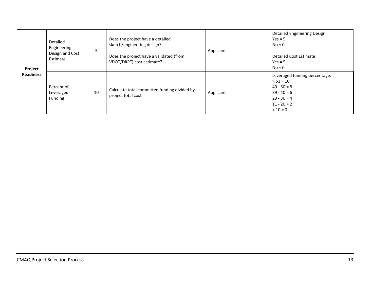| Project          | Detailed<br>Engineering<br>Design and Cost<br>Estimate | 5  | Does the project have a detailed<br>sketch/engineering design?<br>Does the project have a validated (from<br>VDOT/DRPT) cost estimate? | Applicant | <b>Detailed Engineering Design:</b><br>$Yes = 5$<br>$No = 0$<br><b>Detailed Cost Estimate:</b><br>$Yes = 5$<br>$No = 0$        |
|------------------|--------------------------------------------------------|----|----------------------------------------------------------------------------------------------------------------------------------------|-----------|--------------------------------------------------------------------------------------------------------------------------------|
| <b>Readiness</b> | Percent of<br>Leveraged<br>Funding                     | 10 | Calculate total committed funding divided by<br>project total cost                                                                     | Applicant | Leveraged funding percentage:<br>$> 51 = 10$<br>$49 - 50 = 8$<br>$39 - 40 = 6$<br>$29 - 30 = 4$<br>$11 - 20 = 2$<br>$< 10 = 0$ |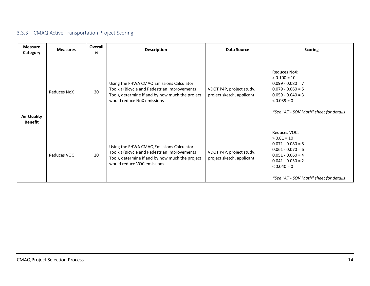## 3.3.3 CMAQ Active Transportation Project Scoring

<span id="page-13-0"></span>

| <b>Measure</b><br>Category           | <b>Measures</b> | Overall<br>% | <b>Description</b>                                                                                                                                                        | <b>Data Source</b>                                    | <b>Scoring</b>                                                                                                                                                                     |
|--------------------------------------|-----------------|--------------|---------------------------------------------------------------------------------------------------------------------------------------------------------------------------|-------------------------------------------------------|------------------------------------------------------------------------------------------------------------------------------------------------------------------------------------|
| <b>Air Quality</b><br><b>Benefit</b> | Reduces NoX     | 20           | Using the FHWA CMAQ Emissions Calculator<br>Toolkit (Bicycle and Pedestrian Improvements<br>Tool), determine if and by how much the project<br>would reduce NoX emissions | VDOT P4P, project study,<br>project sketch, applicant | <b>Reduces NoX:</b><br>$> 0.100 = 10$<br>$0.099 - 0.080 = 7$<br>$0.079 - 0.060 = 5$<br>$0.059 - 0.040 = 3$<br>$0.039 = 0$<br>*See "AT - SOV Math" sheet for details                |
|                                      | Reduces VOC     | 20           | Using the FHWA CMAQ Emissions Calculator<br>Toolkit (Bicycle and Pedestrian Improvements<br>Tool), determine if and by how much the project<br>would reduce VOC emissions | VDOT P4P, project study,<br>project sketch, applicant | Reduces VOC:<br>$> 0.81 = 10$<br>$0.071 - 0.080 = 8$<br>$0.061 - 0.070 = 6$<br>$0.051 - 0.060 = 4$<br>$0.041 - 0.050 = 2$<br>$0.040 = 0$<br>*See "AT - SOV Math" sheet for details |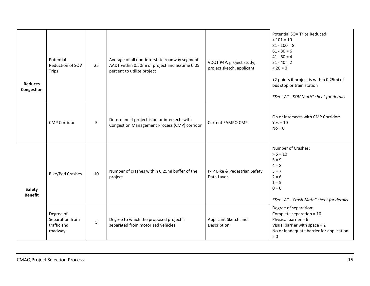| <b>Reduces</b><br>Congestion | Potential<br>Reduction of SOV<br>Trips                 | 25 | Average of all non-interstate roadway segment<br>AADT within 0.50mi of project and assume 0.05<br>percent to utilize project | VDOT P4P, project study,<br>project sketch, applicant | Potential SOV Trips Reduced:<br>$>101 = 10$<br>$81 - 100 = 8$<br>$61 - 80 = 6$<br>$41 - 60 = 4$<br>$21 - 40 = 2$<br>$< 20 = 0$<br>+2 points if project is within 0.25mi of<br>bus stop or train station<br>*See "AT - SOV Math" sheet for details |
|------------------------------|--------------------------------------------------------|----|------------------------------------------------------------------------------------------------------------------------------|-------------------------------------------------------|---------------------------------------------------------------------------------------------------------------------------------------------------------------------------------------------------------------------------------------------------|
|                              | <b>CMP Corridor</b>                                    | 5  | Determine if project is on or intersects with<br>Congestion Management Process (CMP) corridor                                | <b>Current FAMPO CMP</b>                              | On or intersects with CMP Corridor:<br>$Yes = 10$<br>$No = 0$                                                                                                                                                                                     |
| Safety<br><b>Benefit</b>     | <b>Bike/Ped Crashes</b>                                | 10 | Number of crashes within 0.25mi buffer of the<br>project                                                                     | P4P Bike & Pedestrian Safety<br>Data Layer            | Number of Crashes:<br>$> 5 = 10$<br>$5 = 9$<br>$4 = 8$<br>$3 = 7$<br>$2 = 6$<br>$1 = 5$<br>$0 = 0$<br>*See "AT - Crash Math" sheet for details                                                                                                    |
|                              | Degree of<br>Separation from<br>traffic and<br>roadway | 5  | Degree to which the proposed project is<br>separated from motorized vehicles                                                 | Applicant Sketch and<br>Description                   | Degree of separation:<br>Complete separation = 10<br>Physical barrier = $6$<br>Visual barrier with space $= 2$<br>No or Inadequate barrier for application<br>$= 0$                                                                               |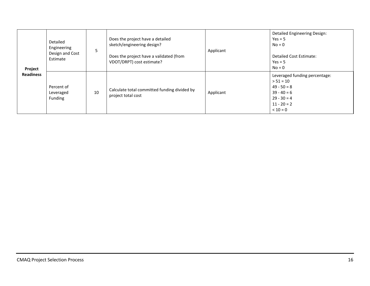| Project          | Detailed<br>Engineering<br>Design and Cost<br>Estimate | 5  | Does the project have a detailed<br>sketch/engineering design?<br>Does the project have a validated (from<br>VDOT/DRPT) cost estimate? | Applicant | <b>Detailed Engineering Design:</b><br>$Yes = 5$<br>$No = 0$<br><b>Detailed Cost Estimate:</b><br>$Yes = 5$<br>$No = 0$        |
|------------------|--------------------------------------------------------|----|----------------------------------------------------------------------------------------------------------------------------------------|-----------|--------------------------------------------------------------------------------------------------------------------------------|
| <b>Readiness</b> | Percent of<br>Leveraged<br>Funding                     | 10 | Calculate total committed funding divided by<br>project total cost                                                                     | Applicant | Leveraged funding percentage:<br>$> 51 = 10$<br>$49 - 50 = 8$<br>$39 - 40 = 6$<br>$29 - 30 = 4$<br>$11 - 20 = 2$<br>$< 10 = 0$ |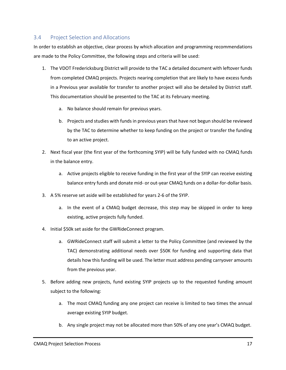## <span id="page-16-0"></span>3.4 Project Selection and Allocations

In order to establish an objective, clear process by which allocation and programming recommendations are made to the Policy Committee, the following steps and criteria will be used:

- 1. The VDOT Fredericksburg District will provide to the TAC a detailed document with leftover funds from completed CMAQ projects. Projects nearing completion that are likely to have excess funds in a Previous year available for transfer to another project will also be detailed by District staff. This documentation should be presented to the TAC at its February meeting.
	- a. No balance should remain for previous years.
	- b. Projects and studies with funds in previous years that have not begun should be reviewed by the TAC to determine whether to keep funding on the project or transfer the funding to an active project.
- 2. Next fiscal year (the first year of the forthcoming SYIP) will be fully funded with no CMAQ funds in the balance entry.
	- a. Active projects eligible to receive funding in the first year of the SYIP can receive existing balance entry funds and donate mid- or out-year CMAQ funds on a dollar-for-dollar basis.
- 3. A 5% reserve set aside will be established for years 2-6 of the SYIP.
	- a. In the event of a CMAQ budget decrease, this step may be skipped in order to keep existing, active projects fully funded.
- 4. Initial \$50k set aside for the GWRideConnect program.
	- a. GWRideConnect staff will submit a letter to the Policy Committee (and reviewed by the TAC) demonstrating additional needs over \$50K for funding and supporting data that details how this funding will be used. The letter must address pending carryover amounts from the previous year.
- 5. Before adding new projects, fund existing SYIP projects up to the requested funding amount subject to the following:
	- a. The most CMAQ funding any one project can receive is limited to two times the annual average existing SYIP budget.
	- b. Any single project may not be allocated more than 50% of any one year's CMAQ budget.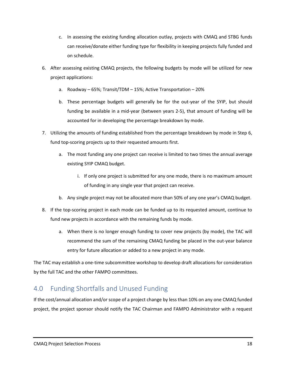- c. In assessing the existing funding allocation outlay, projects with CMAQ and STBG funds can receive/donate either funding type for flexibility in keeping projects fully funded and on schedule.
- 6. After assessing existing CMAQ projects, the following budgets by mode will be utilized for new project applications:
	- a. Roadway 65%; Transit/TDM 15%; Active Transportation 20%
	- b. These percentage budgets will generally be for the out-year of the SYIP, but should funding be available in a mid-year (between years 2-5), that amount of funding will be accounted for in developing the percentage breakdown by mode.
- 7. Utilizing the amounts of funding established from the percentage breakdown by mode in Step 6, fund top-scoring projects up to their requested amounts first.
	- a. The most funding any one project can receive is limited to two times the annual average existing SYIP CMAQ budget.
		- i. If only one project is submitted for any one mode, there is no maximum amount of funding in any single year that project can receive.
	- b. Any single project may not be allocated more than 50% of any one year's CMAQ budget.
- 8. If the top-scoring project in each mode can be funded up to its requested amount, continue to fund new projects in accordance with the remaining funds by mode.
	- a. When there is no longer enough funding to cover new projects (by mode), the TAC will recommend the sum of the remaining CMAQ funding be placed in the out-year balance entry for future allocation or added to a new project in any mode.

The TAC may establish a one-time subcommittee workshop to develop draft allocations for consideration by the full TAC and the other FAMPO committees.

# <span id="page-17-0"></span>4.0 Funding Shortfalls and Unused Funding

If the cost/annual allocation and/or scope of a project change by less than 10% on any one CMAQ funded project, the project sponsor should notify the TAC Chairman and FAMPO Administrator with a request